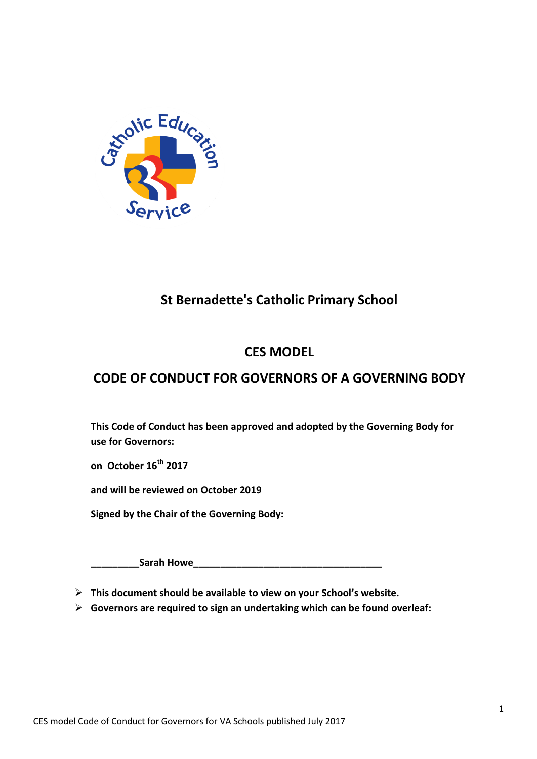

## **St Bernadette's Catholic Primary School**

## **CES MODEL**

## **CODE OF CONDUCT FOR GOVERNORS OF A GOVERNING BODY**

**This Code of Conduct has been approved and adopted by the Governing Body for use for Governors:**

**on October 16th 2017**

**and will be reviewed on October 2019**

**Signed by the Chair of the Governing Body:**

**\_\_\_\_\_\_\_\_\_Sarah Howe\_\_\_\_\_\_\_\_\_\_\_\_\_\_\_\_\_\_\_\_\_\_\_\_\_\_\_\_\_\_\_\_\_\_\_**

**This document should be available to view on your School's website.**

**Governors are required to sign an undertaking which can be found overleaf:**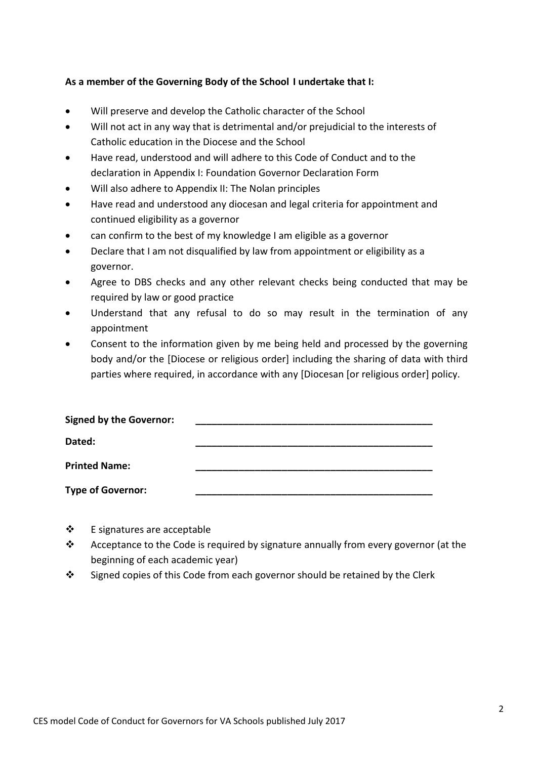#### **As a member of the Governing Body of the School I undertake that I:**

- Will preserve and develop the Catholic character of the School
- Will not act in any way that is detrimental and/or prejudicial to the interests of Catholic education in the Diocese and the School
- Have read, understood and will adhere to this Code of Conduct and to the declaration in Appendix I: Foundation Governor Declaration Form
- Will also adhere to Appendix II: The Nolan principles
- Have read and understood any diocesan and legal criteria for appointment and continued eligibility as a governor
- can confirm to the best of my knowledge I am eligible as a governor
- Declare that I am not disqualified by law from appointment or eligibility as a governor.
- Agree to DBS checks and any other relevant checks being conducted that may be required by law or good practice
- Understand that any refusal to do so may result in the termination of any appointment
- Consent to the information given by me being held and processed by the governing body and/or the [Diocese or religious order] including the sharing of data with third parties where required, in accordance with any [Diocesan [or religious order] policy.

| <b>Signed by the Governor:</b> |  |
|--------------------------------|--|
| Dated:                         |  |
| <b>Printed Name:</b>           |  |
| <b>Type of Governor:</b>       |  |

- $\div$  E signatures are acceptable
- \* Acceptance to the Code is required by signature annually from every governor (at the beginning of each academic year)
- Signed copies of this Code from each governor should be retained by the Clerk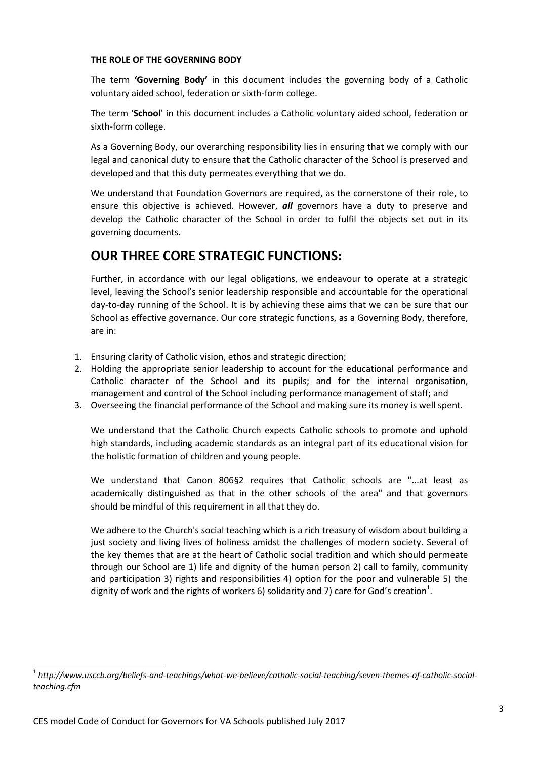#### **THE ROLE OF THE GOVERNING BODY**

The term **'Governing Body'** in this document includes the governing body of a Catholic voluntary aided school, federation or sixth-form college.

The term '**School**' in this document includes a Catholic voluntary aided school, federation or sixth-form college.

As a Governing Body, our overarching responsibility lies in ensuring that we comply with our legal and canonical duty to ensure that the Catholic character of the School is preserved and developed and that this duty permeates everything that we do.

We understand that Foundation Governors are required, as the cornerstone of their role, to ensure this objective is achieved. However, *all* governors have a duty to preserve and develop the Catholic character of the School in order to fulfil the objects set out in its governing documents.

### **OUR THREE CORE STRATEGIC FUNCTIONS:**

Further, in accordance with our legal obligations, we endeavour to operate at a strategic level, leaving the School's senior leadership responsible and accountable for the operational day-to-day running of the School. It is by achieving these aims that we can be sure that our School as effective governance. Our core strategic functions, as a Governing Body, therefore, are in:

- 1. Ensuring clarity of Catholic vision, ethos and strategic direction;
- 2. Holding the appropriate senior leadership to account for the educational performance and Catholic character of the School and its pupils; and for the internal organisation, management and control of the School including performance management of staff; and
- 3. Overseeing the financial performance of the School and making sure its money is well spent.

We understand that the Catholic Church expects Catholic schools to promote and uphold high standards, including academic standards as an integral part of its educational vision for the holistic formation of children and young people.

We understand that Canon 806§2 requires that Catholic schools are "...at least as academically distinguished as that in the other schools of the area" and that governors should be mindful of this requirement in all that they do.

We adhere to the Church's social teaching which is a rich treasury of wisdom about building a just society and living lives of holiness amidst the challenges of modern society. Several of the key themes that are at the heart of Catholic social tradition and which should permeate through our School are 1) life and dignity of the human person 2) call to family, community and participation 3) rights and responsibilities 4) option for the poor and vulnerable 5) the dignity of work and the rights of workers 6) solidarity and 7) care for God's creation<sup>1</sup>.

 $\overline{\phantom{a}}$ 

<sup>1</sup> *http://www.usccb.org/beliefs-and-teachings/what-we-believe/catholic-social-teaching/seven-themes-of-catholic-socialteaching.cfm*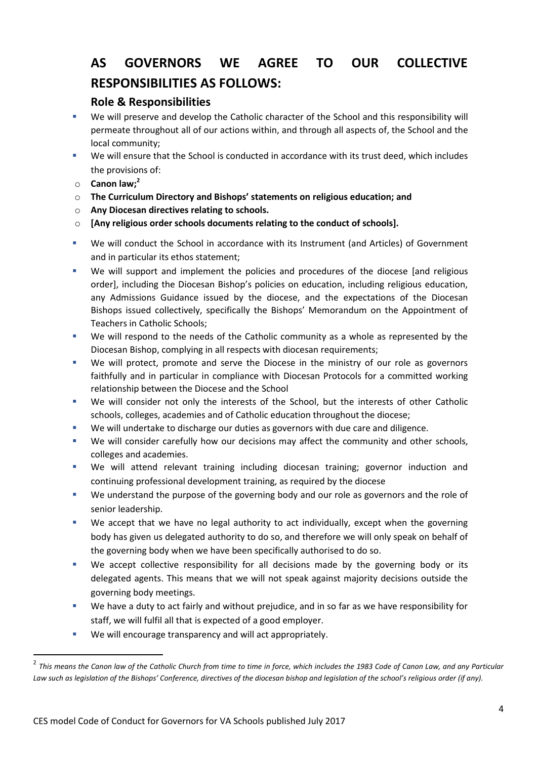# **AS GOVERNORS WE AGREE TO OUR COLLECTIVE RESPONSIBILITIES AS FOLLOWS:**

#### **Role & Responsibilities**

- We will preserve and develop the Catholic character of the School and this responsibility will permeate throughout all of our actions within, and through all aspects of, the School and the local community;
- We will ensure that the School is conducted in accordance with its trust deed, which includes the provisions of:
- o **Canon law; 2**

 $\overline{a}$ 

- o **The Curriculum Directory and Bishops' statements on religious education; and**
- o **Any Diocesan directives relating to schools.**
- o **[Any religious order schools documents relating to the conduct of schools].**
- We will conduct the School in accordance with its Instrument (and Articles) of Government and in particular its ethos statement;
- We will support and implement the policies and procedures of the diocese [and religious order], including the Diocesan Bishop's policies on education, including religious education, any Admissions Guidance issued by the diocese, and the expectations of the Diocesan Bishops issued collectively, specifically the Bishops' Memorandum on the Appointment of Teachers in Catholic Schools;
- We will respond to the needs of the Catholic community as a whole as represented by the Diocesan Bishop, complying in all respects with diocesan requirements;
- We will protect, promote and serve the Diocese in the ministry of our role as governors faithfully and in particular in compliance with Diocesan Protocols for a committed working relationship between the Diocese and the School
- We will consider not only the interests of the School, but the interests of other Catholic schools, colleges, academies and of Catholic education throughout the diocese;
- We will undertake to discharge our duties as governors with due care and diligence.
- We will consider carefully how our decisions may affect the community and other schools, colleges and academies.
- We will attend relevant training including diocesan training; governor induction and continuing professional development training, as required by the diocese
- We understand the purpose of the governing body and our role as governors and the role of senior leadership.
- We accept that we have no legal authority to act individually, except when the governing body has given us delegated authority to do so, and therefore we will only speak on behalf of the governing body when we have been specifically authorised to do so.
- We accept collective responsibility for all decisions made by the governing body or its delegated agents. This means that we will not speak against majority decisions outside the governing body meetings.
- We have a duty to act fairly and without prejudice, and in so far as we have responsibility for staff, we will fulfil all that is expected of a good employer.
- **We will encourage transparency and will act appropriately.**

<sup>&</sup>lt;sup>2</sup> This means the Canon law of the Catholic Church from time to time in force, which includes the 1983 Code of Canon Law, and any Particular Law such as legislation of the Bishops' Conference, directives of the diocesan bishop and legislation of the school's religious order (if any).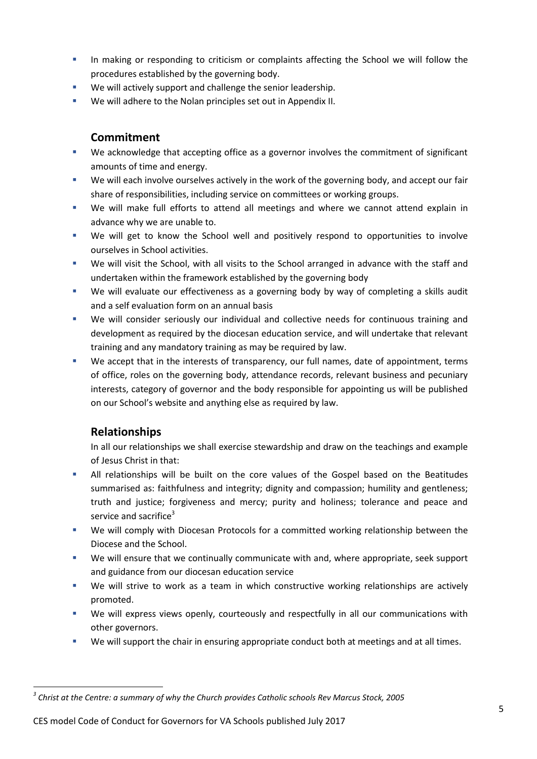- In making or responding to criticism or complaints affecting the School we will follow the procedures established by the governing body.
- We will actively support and challenge the senior leadership.
- We will adhere to the Nolan principles set out in Appendix II.

#### **Commitment**

- We acknowledge that accepting office as a governor involves the commitment of significant amounts of time and energy.
- We will each involve ourselves actively in the work of the governing body, and accept our fair share of responsibilities, including service on committees or working groups.
- We will make full efforts to attend all meetings and where we cannot attend explain in advance why we are unable to.
- We will get to know the School well and positively respond to opportunities to involve ourselves in School activities.
- We will visit the School, with all visits to the School arranged in advance with the staff and undertaken within the framework established by the governing body
- We will evaluate our effectiveness as a governing body by way of completing a skills audit and a self evaluation form on an annual basis
- We will consider seriously our individual and collective needs for continuous training and development as required by the diocesan education service, and will undertake that relevant training and any mandatory training as may be required by law.
- We accept that in the interests of transparency, our full names, date of appointment, terms of office, roles on the governing body, attendance records, relevant business and pecuniary interests, category of governor and the body responsible for appointing us will be published on our School's website and anything else as required by law.

#### **Relationships**

In all our relationships we shall exercise stewardship and draw on the teachings and example of Jesus Christ in that:

- All relationships will be built on the core values of the Gospel based on the Beatitudes summarised as: faithfulness and integrity; dignity and compassion; humility and gentleness; truth and justice; forgiveness and mercy; purity and holiness; tolerance and peace and service and sacrifice $3$
- We will comply with Diocesan Protocols for a committed working relationship between the Diocese and the School.
- We will ensure that we continually communicate with and, where appropriate, seek support and guidance from our diocesan education service
- We will strive to work as a team in which constructive working relationships are actively promoted.
- We will express views openly, courteously and respectfully in all our communications with other governors.
- We will support the chair in ensuring appropriate conduct both at meetings and at all times.

CES model Code of Conduct for Governors for VA Schools published July 2017

 $\overline{\phantom{a}}$ *3 Christ at the Centre: a summary of why the Church provides Catholic schools Rev Marcus Stock, 2005*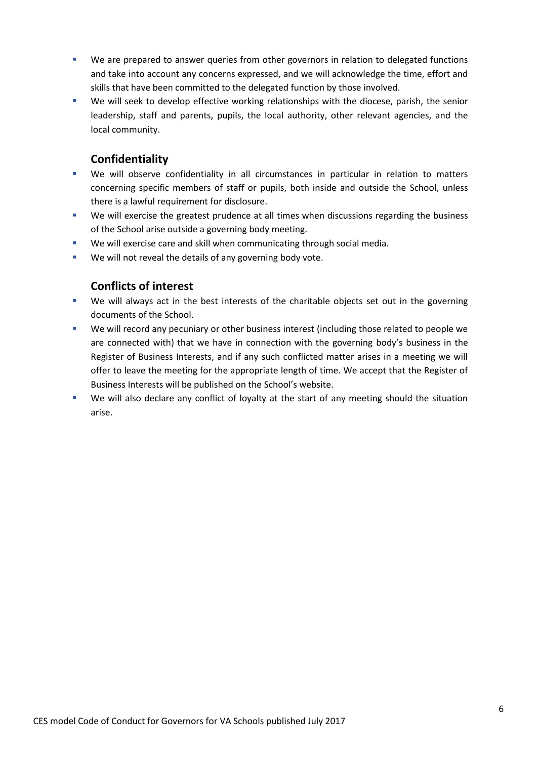- We are prepared to answer queries from other governors in relation to delegated functions and take into account any concerns expressed, and we will acknowledge the time, effort and skills that have been committed to the delegated function by those involved.
- We will seek to develop effective working relationships with the diocese, parish, the senior leadership, staff and parents, pupils, the local authority, other relevant agencies, and the local community.

#### **Confidentiality**

- We will observe confidentiality in all circumstances in particular in relation to matters concerning specific members of staff or pupils, both inside and outside the School, unless there is a lawful requirement for disclosure.
- We will exercise the greatest prudence at all times when discussions regarding the business of the School arise outside a governing body meeting.
- We will exercise care and skill when communicating through social media.
- We will not reveal the details of any governing body vote.

#### **Conflicts of interest**

- We will always act in the best interests of the charitable objects set out in the governing documents of the School.
- We will record any pecuniary or other business interest (including those related to people we are connected with) that we have in connection with the governing body's business in the Register of Business Interests, and if any such conflicted matter arises in a meeting we will offer to leave the meeting for the appropriate length of time. We accept that the Register of Business Interests will be published on the School's website.
- We will also declare any conflict of loyalty at the start of any meeting should the situation arise.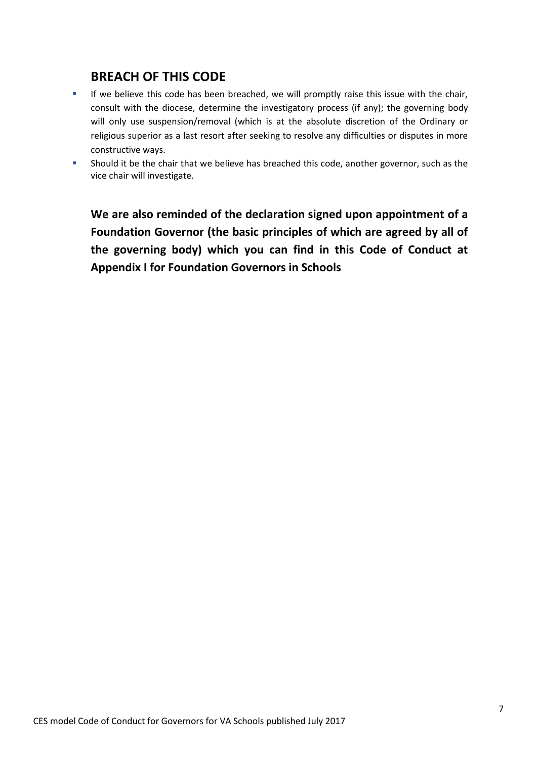### **BREACH OF THIS CODE**

- If we believe this code has been breached, we will promptly raise this issue with the chair, consult with the diocese, determine the investigatory process (if any); the governing body will only use suspension/removal (which is at the absolute discretion of the Ordinary or religious superior as a last resort after seeking to resolve any difficulties or disputes in more constructive ways.
- Should it be the chair that we believe has breached this code, another governor, such as the vice chair will investigate.

**We are also reminded of the declaration signed upon appointment of a Foundation Governor (the basic principles of which are agreed by all of the governing body) which you can find in this Code of Conduct at Appendix I for Foundation Governors in Schools**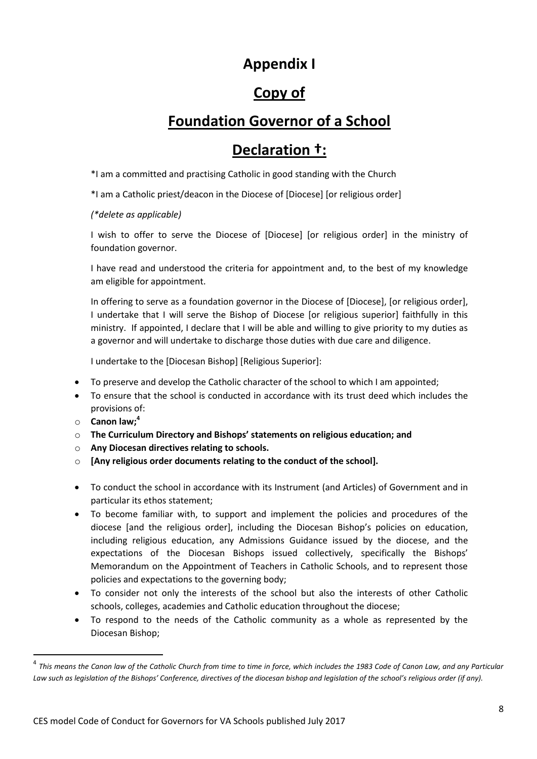## **Appendix I**

# **Copy of**

# **Foundation Governor of a School**

# **Declaration †:**

\*I am a committed and practising Catholic in good standing with the Church

\*I am a Catholic priest/deacon in the Diocese of [Diocese] [or religious order]

*(\*delete as applicable)*

I wish to offer to serve the Diocese of [Diocese] [or religious order] in the ministry of foundation governor.

I have read and understood the criteria for appointment and, to the best of my knowledge am eligible for appointment.

In offering to serve as a foundation governor in the Diocese of [Diocese], [or religious order], I undertake that I will serve the Bishop of Diocese [or religious superior] faithfully in this ministry. If appointed, I declare that I will be able and willing to give priority to my duties as a governor and will undertake to discharge those duties with due care and diligence.

I undertake to the [Diocesan Bishop] [Religious Superior]:

- To preserve and develop the Catholic character of the school to which I am appointed;
- To ensure that the school is conducted in accordance with its trust deed which includes the provisions of:
- o **Canon law; 4**

 $\overline{a}$ 

- o **The Curriculum Directory and Bishops' statements on religious education; and**
- o **Any Diocesan directives relating to schools.**
- o **[Any religious order documents relating to the conduct of the school].**
- To conduct the school in accordance with its Instrument (and Articles) of Government and in particular its ethos statement;
- To become familiar with, to support and implement the policies and procedures of the diocese [and the religious order], including the Diocesan Bishop's policies on education, including religious education, any Admissions Guidance issued by the diocese, and the expectations of the Diocesan Bishops issued collectively, specifically the Bishops' Memorandum on the Appointment of Teachers in Catholic Schools, and to represent those policies and expectations to the governing body;
- To consider not only the interests of the school but also the interests of other Catholic schools, colleges, academies and Catholic education throughout the diocese;
- To respond to the needs of the Catholic community as a whole as represented by the Diocesan Bishop;

<sup>&</sup>lt;sup>4</sup> This means the Canon law of the Catholic Church from time to time in force, which includes the 1983 Code of Canon Law, and any Particular Law such as legislation of the Bishops' Conference, directives of the diocesan bishop and legislation of the school's religious order (if any).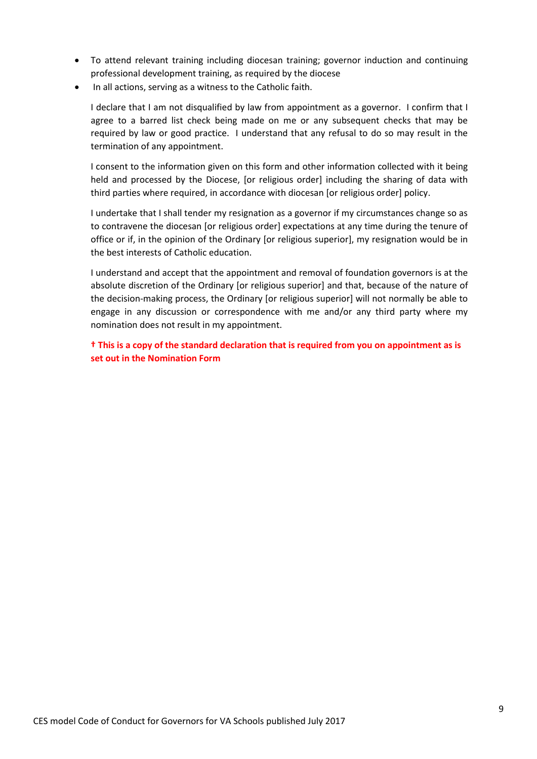- To attend relevant training including diocesan training; governor induction and continuing professional development training, as required by the diocese
- In all actions, serving as a witness to the Catholic faith.

I declare that I am not disqualified by law from appointment as a governor. I confirm that I agree to a barred list check being made on me or any subsequent checks that may be required by law or good practice. I understand that any refusal to do so may result in the termination of any appointment.

I consent to the information given on this form and other information collected with it being held and processed by the Diocese, [or religious order] including the sharing of data with third parties where required, in accordance with diocesan [or religious order] policy.

I undertake that I shall tender my resignation as a governor if my circumstances change so as to contravene the diocesan [or religious order] expectations at any time during the tenure of office or if, in the opinion of the Ordinary [or religious superior], my resignation would be in the best interests of Catholic education.

I understand and accept that the appointment and removal of foundation governors is at the absolute discretion of the Ordinary [or religious superior] and that, because of the nature of the decision-making process, the Ordinary [or religious superior] will not normally be able to engage in any discussion or correspondence with me and/or any third party where my nomination does not result in my appointment.

**† This is a copy of the standard declaration that is required from you on appointment as is set out in the Nomination Form**